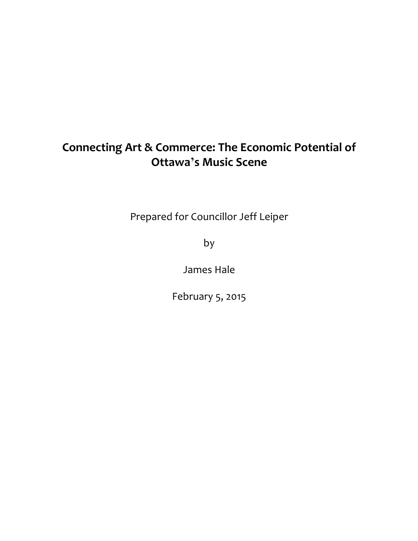# **Connecting Art & Commerce: The Economic Potential of Ottawa's Music Scene**

Prepared for Councillor Jeff Leiper

by

James Hale

February 5, 2015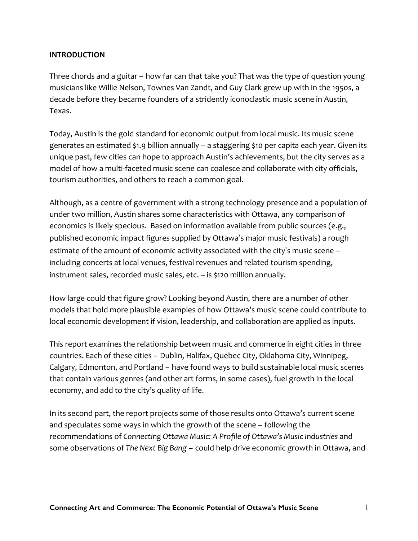# **INTRODUCTION**

Three chords and a guitar – how far can that take you? That was the type of question young musicians like Willie Nelson, Townes Van Zandt, and Guy Clark grew up with in the 1950s, a decade before they became founders of a stridently iconoclastic music scene in Austin, Texas.

Today, Austin is the gold standard for economic output from local music. Its music scene generates an estimated \$1.9 billion annually – a staggering \$10 per capita each year. Given its unique past, few cities can hope to approach Austin's achievements, but the city serves as a model of how a multi-faceted music scene can coalesce and collaborate with city officials, tourism authorities, and others to reach a common goal.

Although, as a centre of government with a strong technology presence and a population of under two million, Austin shares some characteristics with Ottawa, any comparison of economics is likely specious. Based on information available from public sources (e.g., published economic impact figures supplied by Ottawa's major music festivals) a rough estimate of the amount of economic activity associated with the city's music scene – including concerts at local venues, festival revenues and related tourism spending, instrument sales, recorded music sales, etc. – is \$120 million annually.

How large could that figure grow? Looking beyond Austin, there are a number of other models that hold more plausible examples of how Ottawa's music scene could contribute to local economic development if vision, leadership, and collaboration are applied as inputs.

This report examines the relationship between music and commerce in eight cities in three countries. Each of these cities – Dublin, Halifax, Quebec City, Oklahoma City, Winnipeg, Calgary, Edmonton, and Portland – have found ways to build sustainable local music scenes that contain various genres (and other art forms, in some cases), fuel growth in the local economy, and add to the city's quality of life.

In its second part, the report projects some of those results onto Ottawa's current scene and speculates some ways in which the growth of the scene – following the recommendations of *Connecting Ottawa Music: A Profile of Ottawa's Music Industries* and some observations of *The Next Big Bang* – could help drive economic growth in Ottawa, and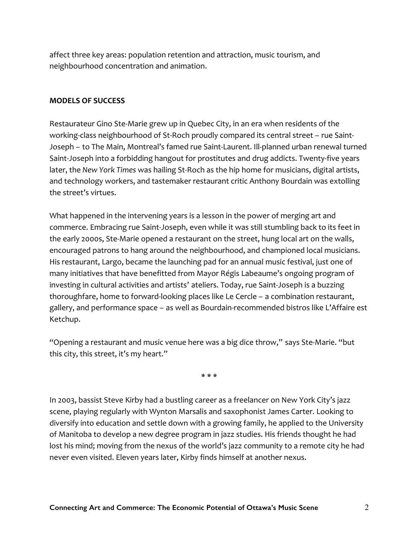affect three key areas: population retention and attraction, music tourism, and neighbourhood concentration and animation.

## **MODELS OF SUCCESS**

Restaurateur Gino Ste-Marie grew up in Quebec City, in an era when residents of the working-class neighbourhood of St-Roch proudly compared its central street – rue Saint-Joseph – to The Main, Montreal's famed rue Saint-Laurent. Ill-planned urban renewal turned Saint-Joseph into a forbidding hangout for prostitutes and drug addicts. Twenty-five years later, the *New York Times* was hailing St-Roch as the hip home for musicians, digital artists, and technology workers, and tastemaker restaurant critic Anthony Bourdain was extolling the street's virtues.

What happened in the intervening years is a lesson in the power of merging art and commerce. Embracing rue Saint-Joseph, even while it was still stumbling back to its feet in the early 2000s, Ste-Marie opened a restaurant on the street, hung local art on the walls, encouraged patrons to hang around the neighbourhood, and championed local musicians. His restaurant, Largo, became the launching pad for an annual music festival, just one of many initiatives that have benefitted from Mayor Régis Labeaume's ongoing program of investing in cultural activities and artists' ateliers. Today, rue Saint-Joseph is a buzzing thoroughfare, home to forward-looking places like Le Cercle – a combination restaurant, gallery, and performance space – as well as Bourdain-recommended bistros like L'Affaire est Ketchup.

"Opening a restaurant and music venue here was a big dice throw," says Ste-Marie. "but this city, this street, it's my heart."

\* \* \*

In 2003, bassist Steve Kirby had a bustling career as a freelancer on New York City's jazz scene, playing regularly with Wynton Marsalis and saxophonist James Carter. Looking to diversify into education and settle down with a growing family, he applied to the University of Manitoba to develop a new degree program in jazz studies. His friends thought he had lost his mind; moving from the nexus of the world's jazz community to a remote city he had never even visited. Eleven years later, Kirby finds himself at another nexus.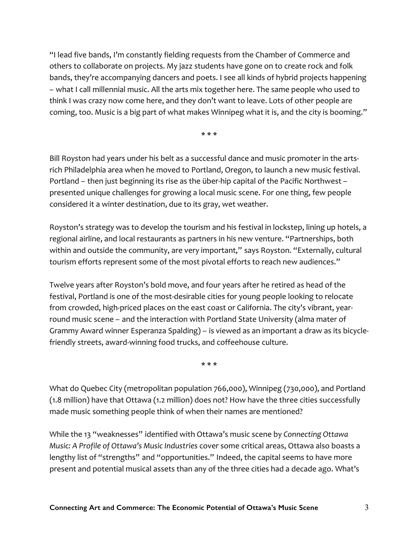"I lead five bands, I'm constantly fielding requests from the Chamber of Commerce and others to collaborate on projects. My jazz students have gone on to create rock and folk bands, they're accompanying dancers and poets. I see all kinds of hybrid projects happening – what I call millennial music. All the arts mix together here. The same people who used to think I was crazy now come here, and they don't want to leave. Lots of other people are coming, too. Music is a big part of what makes Winnipeg what it is, and the city is booming."

\* \* \*

Bill Royston had years under his belt as a successful dance and music promoter in the artsrich Philadelphia area when he moved to Portland, Oregon, to launch a new music festival. Portland – then just beginning its rise as the über-hip capital of the Pacific Northwest – presented unique challenges for growing a local music scene. For one thing, few people considered it a winter destination, due to its gray, wet weather.

Royston's strategy was to develop the tourism and his festival in lockstep, lining up hotels, a regional airline, and local restaurants as partners in his new venture. "Partnerships, both within and outside the community, are very important," says Royston. "Externally, cultural tourism efforts represent some of the most pivotal efforts to reach new audiences."

Twelve years after Royston's bold move, and four years after he retired as head of the festival, Portland is one of the most-desirable cities for young people looking to relocate from crowded, high-priced places on the east coast or California. The city's vibrant, yearround music scene – and the interaction with Portland State University (alma mater of Grammy Award winner Esperanza Spalding) – is viewed as an important a draw as its bicyclefriendly streets, award-winning food trucks, and coffeehouse culture.

\* \* \*

What do Quebec City (metropolitan population 766,000), Winnipeg (730,000), and Portland (1.8 million) have that Ottawa (1.2 million) does not? How have the three cities successfully made music something people think of when their names are mentioned?

While the 13 "weaknesses" identified with Ottawa's music scene by *Connecting Ottawa Music: A Profile of Ottawa's Music Industries* cover some critical areas, Ottawa also boasts a lengthy list of "strengths" and "opportunities." Indeed, the capital seems to have more present and potential musical assets than any of the three cities had a decade ago. What's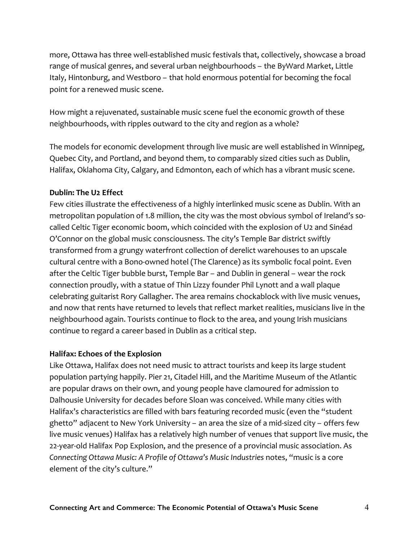more, Ottawa has three well-established music festivals that, collectively, showcase a broad range of musical genres, and several urban neighbourhoods – the ByWard Market, Little Italy, Hintonburg, and Westboro – that hold enormous potential for becoming the focal point for a renewed music scene.

How might a rejuvenated, sustainable music scene fuel the economic growth of these neighbourhoods, with ripples outward to the city and region as a whole?

The models for economic development through live music are well established in Winnipeg, Quebec City, and Portland, and beyond them, to comparably sized cities such as Dublin, Halifax, Oklahoma City, Calgary, and Edmonton, each of which has a vibrant music scene.

# **Dublin: The U2 Effect**

Few cities illustrate the effectiveness of a highly interlinked music scene as Dublin. With an metropolitan population of 1.8 million, the city was the most obvious symbol of Ireland's socalled Celtic Tiger economic boom, which coincided with the explosion of U2 and Sinéad O'Connor on the global music consciousness. The city's Temple Bar district swiftly transformed from a grungy waterfront collection of derelict warehouses to an upscale cultural centre with a Bono-owned hotel (The Clarence) as its symbolic focal point. Even after the Celtic Tiger bubble burst, Temple Bar – and Dublin in general – wear the rock connection proudly, with a statue of Thin Lizzy founder Phil Lynott and a wall plaque celebrating guitarist Rory Gallagher. The area remains chockablock with live music venues, and now that rents have returned to levels that reflect market realities, musicians live in the neighbourhood again. Tourists continue to flock to the area, and young Irish musicians continue to regard a career based in Dublin as a critical step.

## **Halifax: Echoes of the Explosion**

Like Ottawa, Halifax does not need music to attract tourists and keep its large student population partying happily. Pier 21, Citadel Hill, and the Maritime Museum of the Atlantic are popular draws on their own, and young people have clamoured for admission to Dalhousie University for decades before Sloan was conceived. While many cities with Halifax's characteristics are filled with bars featuring recorded music (even the "student ghetto" adjacent to New York University – an area the size of a mid-sized city – offers few live music venues) Halifax has a relatively high number of venues that support live music, the 22-year-old Halifax Pop Explosion, and the presence of a provincial music association. As *Connecting Ottawa Music: A Profile of Ottawa's Music Industries* notes, "music is a core element of the city's culture."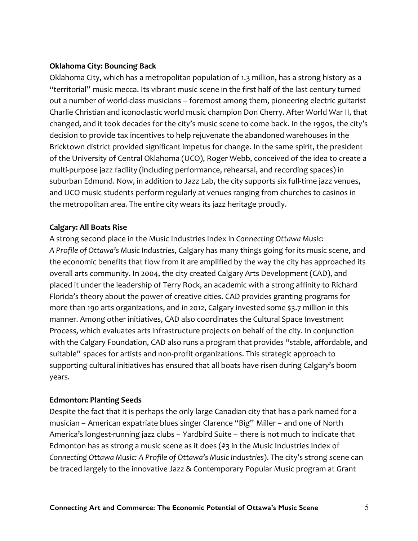# **Oklahoma City: Bouncing Back**

Oklahoma City, which has a metropolitan population of 1.3 million, has a strong history as a "territorial" music mecca. Its vibrant music scene in the first half of the last century turned out a number of world-class musicians – foremost among them, pioneering electric guitarist Charlie Christian and iconoclastic world music champion Don Cherry. After World War II, that changed, and it took decades for the city's music scene to come back. In the 1990s, the city's decision to provide tax incentives to help rejuvenate the abandoned warehouses in the Bricktown district provided significant impetus for change. In the same spirit, the president of the University of Central Oklahoma (UCO), Roger Webb, conceived of the idea to create a multi-purpose jazz facility (including performance, rehearsal, and recording spaces) in suburban Edmund. Now, in addition to Jazz Lab, the city supports six full-time jazz venues, and UCO music students perform regularly at venues ranging from churches to casinos in the metropolitan area. The entire city wears its jazz heritage proudly.

# **Calgary: All Boats Rise**

A strong second place in the Music Industries Index in *Connecting Ottawa Music: A Profile of Ottawa's Music Industries*, Calgary has many things going for its music scene, and the economic benefits that flow from it are amplified by the way the city has approached its overall arts community. In 2004, the city created Calgary Arts Development (CAD), and placed it under the leadership of Terry Rock, an academic with a strong affinity to Richard Florida's theory about the power of creative cities. CAD provides granting programs for more than 190 arts organizations, and in 2012, Calgary invested some \$3.7 million in this manner. Among other initiatives, CAD also coordinates the Cultural Space Investment Process, which evaluates arts infrastructure projects on behalf of the city. In conjunction with the Calgary Foundation, CAD also runs a program that provides "stable, affordable, and suitable" spaces for artists and non-profit organizations. This strategic approach to supporting cultural initiatives has ensured that all boats have risen during Calgary's boom years.

# **Edmonton: Planting Seeds**

Despite the fact that it is perhaps the only large Canadian city that has a park named for a musician – American expatriate blues singer Clarence "Big" Miller – and one of North America's longest-running jazz clubs – Yardbird Suite – there is not much to indicate that Edmonton has as strong a music scene as it does  $(\#$ 3 in the Music Industries Index of *Connecting Ottawa Music: A Profile of Ottawa's Music Industries*). The city's strong scene can be traced largely to the innovative Jazz & Contemporary Popular Music program at Grant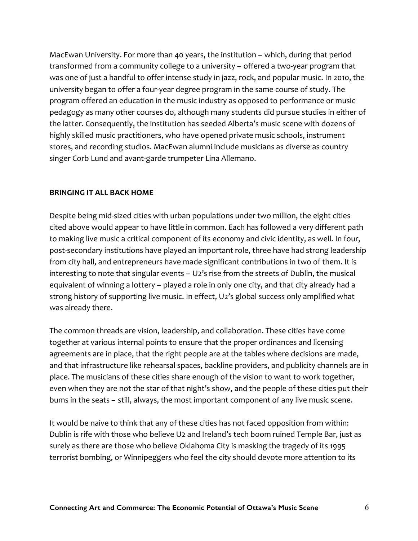MacEwan University. For more than 40 years, the institution – which, during that period transformed from a community college to a university – offered a two-year program that was one of just a handful to offer intense study in jazz, rock, and popular music. In 2010, the university began to offer a four-year degree program in the same course of study. The program offered an education in the music industry as opposed to performance or music pedagogy as many other courses do, although many students did pursue studies in either of the latter. Consequently, the institution has seeded Alberta's music scene with dozens of highly skilled music practitioners, who have opened private music schools, instrument stores, and recording studios. MacEwan alumni include musicians as diverse as country singer Corb Lund and avant-garde trumpeter Lina Allemano.

## **BRINGING IT ALL BACK HOME**

Despite being mid-sized cities with urban populations under two million, the eight cities cited above would appear to have little in common. Each has followed a very different path to making live music a critical component of its economy and civic identity, as well. In four, post-secondary institutions have played an important role, three have had strong leadership from city hall, and entrepreneurs have made significant contributions in two of them. It is interesting to note that singular events – U2's rise from the streets of Dublin, the musical equivalent of winning a lottery – played a role in only one city, and that city already had a strong history of supporting live music. In effect, U2's global success only amplified what was already there.

The common threads are vision, leadership, and collaboration. These cities have come together at various internal points to ensure that the proper ordinances and licensing agreements are in place, that the right people are at the tables where decisions are made, and that infrastructure like rehearsal spaces, backline providers, and publicity channels are in place. The musicians of these cities share enough of the vision to want to work together, even when they are not the star of that night's show, and the people of these cities put their bums in the seats – still, always, the most important component of any live music scene.

It would be naive to think that any of these cities has not faced opposition from within: Dublin is rife with those who believe U2 and Ireland's tech boom ruined Temple Bar, just as surely as there are those who believe Oklahoma City is masking the tragedy of its 1995 terrorist bombing, or Winnipeggers who feel the city should devote more attention to its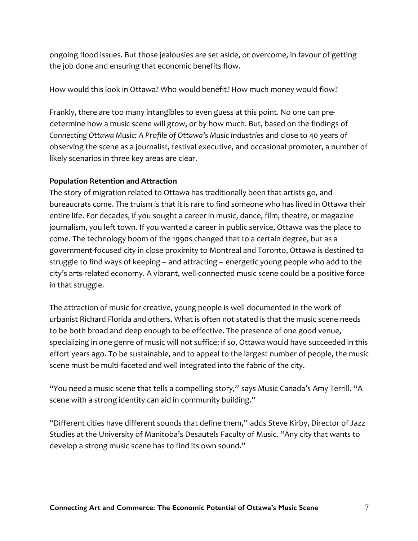ongoing flood issues. But those jealousies are set aside, or overcome, in favour of getting the job done and ensuring that economic benefits flow.

How would this look in Ottawa? Who would benefit? How much money would flow?

Frankly, there are too many intangibles to even guess at this point. No one can predetermine how a music scene will grow, or by how much. But, based on the findings of *Connecting Ottawa Music: A Profile of Ottawa's Music Industries* and close to 40 years of observing the scene as a journalist, festival executive, and occasional promoter, a number of likely scenarios in three key areas are clear.

## **Population Retention and Attraction**

The story of migration related to Ottawa has traditionally been that artists go, and bureaucrats come. The truism is that it is rare to find someone who has lived in Ottawa their entire life. For decades, if you sought a career in music, dance, film, theatre, or magazine journalism, you left town. If you wanted a career in public service, Ottawa was the place to come. The technology boom of the 1990s changed that to a certain degree, but as a government-focused city in close proximity to Montreal and Toronto, Ottawa is destined to struggle to find ways of keeping – and attracting – energetic young people who add to the city's arts-related economy. A vibrant, well-connected music scene could be a positive force in that struggle.

The attraction of music for creative, young people is well documented in the work of urbanist Richard Florida and others. What is often not stated is that the music scene needs to be both broad and deep enough to be effective. The presence of one good venue, specializing in one genre of music will not suffice; if so, Ottawa would have succeeded in this effort years ago. To be sustainable, and to appeal to the largest number of people, the music scene must be multi-faceted and well integrated into the fabric of the city.

"You need a music scene that tells a compelling story," says Music Canada's Amy Terrill. "A scene with a strong identity can aid in community building."

"Different cities have different sounds that define them," adds Steve Kirby, Director of Jazz Studies at the University of Manitoba's Desautels Faculty of Music. "Any city that wants to develop a strong music scene has to find its own sound."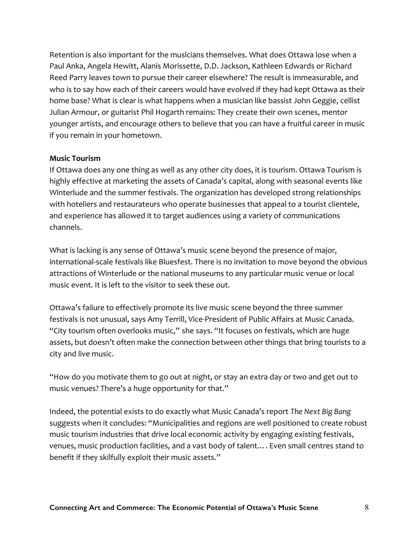Retention is also important for the musicians themselves. What does Ottawa lose when a Paul Anka, Angela Hewitt, Alanis Morissette, D.D. Jackson, Kathleen Edwards or Richard Reed Parry leaves town to pursue their career elsewhere? The result is immeasurable, and who is to say how each of their careers would have evolved if they had kept Ottawa as their home base? What is clear is what happens when a musician like bassist John Geggie, cellist Julian Armour, or guitarist Phil Hogarth remains: They create their own scenes, mentor younger artists, and encourage others to believe that you can have a fruitful career in music if you remain in your hometown.

#### **Music Tourism**

If Ottawa does any one thing as well as any other city does, it is tourism. Ottawa Tourism is highly effective at marketing the assets of Canada's capital, along with seasonal events like Winterlude and the summer festivals. The organization has developed strong relationships with hoteliers and restaurateurs who operate businesses that appeal to a tourist clientele, and experience has allowed it to target audiences using a variety of communications channels.

What is lacking is any sense of Ottawa's music scene beyond the presence of major, international-scale festivals like Bluesfest. There is no invitation to move beyond the obvious attractions of Winterlude or the national museums to any particular music venue or local music event. It is left to the visitor to seek these out.

Ottawa's failure to effectively promote its live music scene beyond the three summer festivals is not unusual, says Amy Terrill, Vice-President of Public Affairs at Music Canada. "City tourism often overlooks music," she says. "It focuses on festivals, which are huge assets, but doesn't often make the connection between other things that bring tourists to a city and live music.

"How do you motivate them to go out at night, or stay an extra day or two and get out to music venues? There's a huge opportunity for that."

Indeed, the potential exists to do exactly what Music Canada's report *The Next Big Bang* suggests when it concludes: "Municipalities and regions are well positioned to create robust music tourism industries that drive local economic activity by engaging existing festivals, venues, music production facilities, and a vast body of talent…. Even small centres stand to benefit if they skilfully exploit their music assets."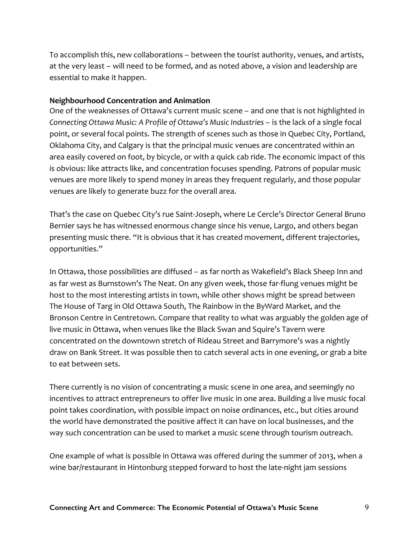To accomplish this, new collaborations – between the tourist authority, venues, and artists, at the very least – will need to be formed, and as noted above, a vision and leadership are essential to make it happen.

## **Neighbourhood Concentration and Animation**

One of the weaknesses of Ottawa's current music scene – and one that is not highlighted in *Connecting Ottawa Music: A Profile of Ottawa's Music Industries* – is the lack of a single focal point, or several focal points. The strength of scenes such as those in Quebec City, Portland, Oklahoma City, and Calgary is that the principal music venues are concentrated within an area easily covered on foot, by bicycle, or with a quick cab ride. The economic impact of this is obvious: like attracts like, and concentration focuses spending. Patrons of popular music venues are more likely to spend money in areas they frequent regularly, and those popular venues are likely to generate buzz for the overall area.

That's the case on Quebec City's rue Saint-Joseph, where Le Cercle's Director General Bruno Bernier says he has witnessed enormous change since his venue, Largo, and others began presenting music there. "It is obvious that it has created movement, different trajectories, opportunities."

In Ottawa, those possibilities are diffused – as far north as Wakefield's Black Sheep Inn and as far west as Burnstown's The Neat. On any given week, those far-flung venues might be host to the most interesting artists in town, while other shows might be spread between The House of Targ in Old Ottawa South, The Rainbow in the ByWard Market, and the Bronson Centre in Centretown. Compare that reality to what was arguably the golden age of live music in Ottawa, when venues like the Black Swan and Squire's Tavern were concentrated on the downtown stretch of Rideau Street and Barrymore's was a nightly draw on Bank Street. It was possible then to catch several acts in one evening, or grab a bite to eat between sets.

There currently is no vision of concentrating a music scene in one area, and seemingly no incentives to attract entrepreneurs to offer live music in one area. Building a live music focal point takes coordination, with possible impact on noise ordinances, etc., but cities around the world have demonstrated the positive affect it can have on local businesses, and the way such concentration can be used to market a music scene through tourism outreach.

One example of what is possible in Ottawa was offered during the summer of 2013, when a wine bar/restaurant in Hintonburg stepped forward to host the late-night jam sessions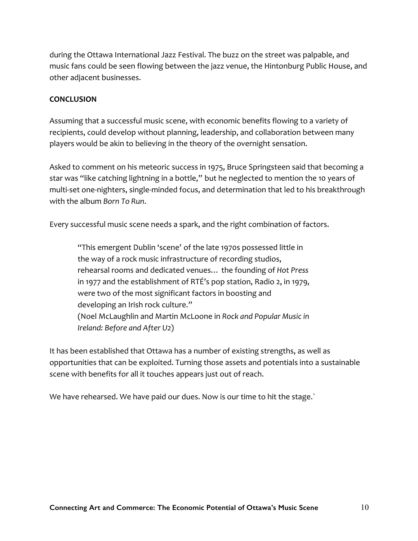during the Ottawa International Jazz Festival. The buzz on the street was palpable, and music fans could be seen flowing between the jazz venue, the Hintonburg Public House, and other adjacent businesses.

## **CONCLUSION**

Assuming that a successful music scene, with economic benefits flowing to a variety of recipients, could develop without planning, leadership, and collaboration between many players would be akin to believing in the theory of the overnight sensation.

Asked to comment on his meteoric success in 1975, Bruce Springsteen said that becoming a star was "like catching lightning in a bottle," but he neglected to mention the 10 years of multi-set one-nighters, single-minded focus, and determination that led to his breakthrough with the album *Born To Run*.

Every successful music scene needs a spark, and the right combination of factors.

"This emergent Dublin 'scene' of the late 1970s possessed little in the way of a rock music infrastructure of recording studios, rehearsal rooms and dedicated venues… the founding of *Hot Press* in 1977 and the establishment of RTÉ's pop station, Radio 2, in 1979, were two of the most significant factors in boosting and developing an Irish rock culture." (Noel McLaughlin and Martin McLoone in *Rock and Popular Music in Ireland: Before and After U2*)

It has been established that Ottawa has a number of existing strengths, as well as opportunities that can be exploited. Turning those assets and potentials into a sustainable scene with benefits for all it touches appears just out of reach.

We have rehearsed. We have paid our dues. Now is our time to hit the stage.`